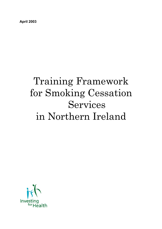**April 2003** 

# Training Framework for Smoking Cessation Services in Northern Ireland

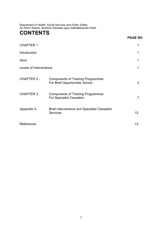Department of Health, Social Services and Public Safety An Roinn Sláinte, Seirbhísí Sóisialta agus Sábháilteachta Poiblí

# **CONTENTS**

### **PAGE NO**

| <b>CHAPTER 1</b>        |                                                                             | 1               |
|-------------------------|-----------------------------------------------------------------------------|-----------------|
| Introduction            |                                                                             | 1               |
| Aims                    |                                                                             | 1               |
| Levels of Interventions |                                                                             | 1               |
| <b>CHAPTER 2 -</b>      | <b>Components of Training Programmes</b><br>For Brief Opportunistic Advice  | 3               |
| <b>CHAPTER 3</b>        | <b>Components of Training Programmes</b><br><b>For Specialist Cessation</b> | 7               |
| Appendix A              | <b>Brief Interventions and Specialist Cessation</b><br><b>Services</b>      | 12 <sup>2</sup> |
| References              |                                                                             | 13              |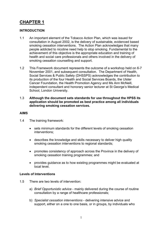### **CHAPTER 1**

### **INTRODUCTION**

- 1.1 An important element of the Tobacco Action Plan, which was issued for consultation in August 2002, is the delivery of sustainable, evidenced based smoking cessation interventions. The Action Plan acknowledges that many people addicted to nicotine need help to stop smoking. Fundamental to the achievement of this objective is the appropriate education and training of health and social care professionals and others involved in the delivery of smoking cessation counselling and support.
- 1.2 This Framework document represents the outcome of a workshop held on 6-7 November 2001, and subsequent consultation. The Department of Health, Social Services & Public Safety (DHSSPS) acknowledges the contribution to its production of the four Health and Social Services Boards, the Ulster Cancer Foundation, the Health Promotion Agency and Ms Ann McNeill, independent consultant and honorary senior lecturer at St George's Medical School, London University.
- 1.3 **Although the document sets standards for use throughout the HPSS its application should be promoted as best practice among all individuals delivering smoking cessation services.**

#### **AIMS**

- 1.4 The training framework:
	- sets minimum standards for the different levels of smoking cessation interventions;
	- describes the knowledge and skills necessary to deliver high quality smoking cessation interventions to regional standards;
	- promotes consistency of approach across the Province in the delivery of smoking cessation training programmes; and
	- provides guidance as to how existing programmes might be evaluated at local level.

### **Levels of Interventions**

- 1.5 There are two levels of intervention:
	- a) *Brief Opportunistic advice*  mainly delivered during the course of routine consultation by a range of healthcare professionals;
	- b) *Specialist cessation interventions*  delivering intensive advice and support, either on a one to one basis, or in groups, by individuals who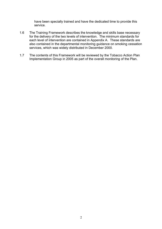have been specially trained and have the dedicated time to provide this service.

- 1.6 The Training Framework describes the knowledge and skills base necessary for the delivery of the two levels of intervention. The minimum standards for each level of intervention are contained in Appendix A. These standards are also contained in the departmental monitoring guidance on smoking cessation services, which was widely distributed in December 2000.
- 1.7 The contents of this Framework will be reviewed by the Tobacco Action Plan Implementation Group in 2005 as part of the overall monitoring of the Plan.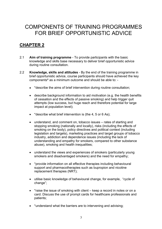# COMPONENTS OF TRAINING PROGRAMMES FOR BRIEF OPPORTUNISTIC ADVICE

### **CHAPTER 2**

- 2.1 **Aim of training programme**  To provide participants with the basic knowledge and skills base necessary to deliver brief opportunistic advice during routine consultation.
- 2.2 **Knowledge, skills and attitudes**  By the end of the training programme in brief opportunistic advice, course participants should have achieved the key components**\*** as a minimum outcome and should be able to: -
	- \*describe the aims of brief intervention during routine consultation;
	- describe background information to aid motivation (e.g. the health benefits of cessation and the effects of passive smoking) and help trigger quit attempts (low success, but huge reach and therefore potential for large impact at population level);
	- \* describe what brief intervention is (the 4, 5 or 6 As);
	- understand, and comment on, tobacco issues rates of starting and stopping smoking (nationally and locally), risks (including the effects of smoking on the body), policy directives and political context (including legislation and targets), marketing practices and target groups of tobacco industry, addiction and dependence issues (including the lack of understanding and empathy for smokers, compared to other substance abuse), smoking and health inequalities;
	- understand the views and experiences of smokers (particularly young smokers and disadvantaged smokers) and the need for empathy;
	- \*provide information on all effective therapies including behavioural support and pharmacotherapies such as bupropion and nicotine replacement therapies (NRT);
	- utilise basic knowledge of behavioural change, for example, "cycle of change";
	- \* raise the issue of smoking with client keep a record in notes or on a card. Discuss the use of prompt cards for healthcare professionals and patients;
	- \*understand what the barriers are to intervening and advising;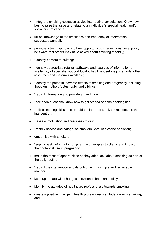- \* integrate smoking cessation advice into routine consultation. Know how best to raise the issue and relate to an individual's special health and/or social circumstances;
- utilise knowledge of the timeliness and frequency of intervention suggested annually;
- promote a team approach to brief opportunistic interventions (local policy), be aware that others may have asked about smoking recently;
- \*identify barriers to quitting;
- \*identify appropriate referral pathways and sources of information on availability of specialist support locally, helplines, self-help methods, other resources and materials available;
- \*identify the potential adverse effects of smoking and pregnancy including those on mother, foetus, baby and siblings;
- \* record information and provide an audit trail;
- \*ask open questions, know how to get started and the opening line;
- \*utilise listening skills, and be able to interpret smoker's response to the intervention;
- \* assess motivation and readiness to quit;
- \*rapidly assess and categorise smokers' level of nicotine addiction;
- empathise with smokers;
- \*supply basic information on pharmacotherapies to clients and know of their potential use in pregnancy;
- make the most of opportunities as they arise; ask about smoking as part of the daily routine;
- \* record the intervention and its outcome in a simple and retrievable manner;
- keep up to date with changes in evidence base and policy;
- identify the attitudes of healthcare professionals towards smoking;
- create a positive change in health professional's attitude towards smoking; and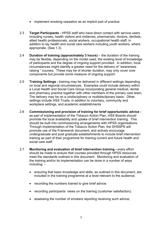- implement smoking cessation as an implicit part of practice.
- 2.3 **Target Participants** HPSS staff who have direct contact with service users including nurses, health visitors and midwives, pharmacists, doctors, dentists, allied health professionals, social workers, occupational health staff, in addition to lay health and social care workers including youth workers, where appropriate. (See 1.3).
- 2.4 **Duration of training (approximately 3 hours)** the duration of the training may be flexible, depending on the model used, the existing level of knowledge of participants and the degree of ongoing support provided. In addition, local circumstances might identify a greater need for the delivery of "awareness raising " courses. These may be of shorter duration, may only cover core components but provide some measure of ongoing support.
- 2.5 **Training Settings** training may be delivered in different settings depending on local and regional circumstances. Examples could include delivery within a Local Health and Social Care Group incorporating general medical, dental and pharmacy practice together with other members of the primary care team, The delivery may be on a unidisciplinary or multidisclipinary basis. Other settings include HSS Trusts, in addition to voluntary, community and workplace settings, and academic establishments
- 2.6 **Commissioning and provision of training for brief opportunistic advice**  as part of implementation of the Tobacco Action Plan, HSS Boards should promote the local availability and uptake of brief intervention training. This should be built into commissioning arrangements with HPSS organisations. Through implementation of the Tobacco Action Plan, the DHSSPS will promote use of the Framework document, and actively encourage undergraduate and post graduate establishments to include brief intervention training as part of their programme for training current and future health and social care staff
- 2.7 **Monitoring and evaluation of brief intervention training every effort** should be made to ensure that courses provided through HPSS resources meet the standards outlined in this document. Monitoring and evaluation of the training and/or its implementation can be done in a number of ways including: -
	- ensuring that basic knowledge and skills, as outlined in this document, are included in the training programme at a level relevant to the audience;
	- recording the numbers trained to give brief advice;
	- recording participants' views on the training (customer satisfaction);
	- assessing the number of smokers reporting receiving such advice;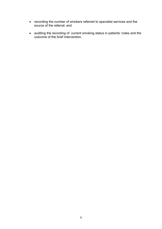- recording the number of smokers referred to specialist services and the source of the referral; and
- auditing the recording of current smoking status in patients' notes and the outcome of the brief intervention.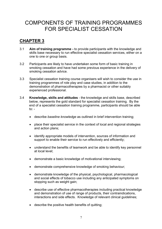# COMPONENTS OF TRAINING PROGRAMMES FOR SPECIALIST CESSATION

### **CHAPTER 3**

- 3.1 **Aim of training programme -** to provide participants with the knowledge and skills base necessary to run effective specialist cessation services, either on a one to one or group basis.
- 3.2 Participants are likely to have undertaken some form of basic training in smoking cessation and have had some previous experience in the delivery of smoking cessation advice.
- 3.3 Specialist cessation training course organisers will wish to consider the use in training programmes of role play and case studies, in addition to the demonstration of pharmacotherapies by a pharmacist or other suitably experienced professional.
- 3.4 **Knowledge, skills and attitudes**  the knowledge and skills base, described below, represents the gold standard for specialist cessation training. By the end of a specialist cessation training programme, participants should be able to:  $-$ 
	- describe *baseline knowledge* as outlined in brief intervention training;
	- place their specialist service in the context of local and regional strategies and action plans;
	- identify appropriate models of intervention, sources of information and support to enable their service to run effectively and efficiently;
	- understand the benefits of teamwork and be able to identify key personnel at local level;
	- demonstrate a basic knowledge of motivational interviewing;
	- demonstrate comprehensive knowledge of smoking behaviour;
	- demonstrate knowledge of the physical, psychological, pharmacological and social effects of tobacco use including any anticipated symptoms on stopping such as weight gain;
	- describe use of effective pharmacotherapies including practical knowledge and demonstration of use of range of products, their contraindications, interactions and side effects. Knowledge of relevant clinical guidelines;
	- describe the positive health benefits of quitting;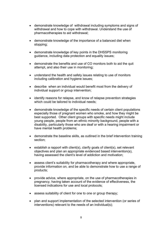- demonstrate knowledge of withdrawal including symptoms and signs of withdrawal and how to cope with withdrawal. Understand the use of pharmacotherapies to aid withdrawal;
- demonstrate knowledge of the importance of a balanced diet when stopping;
- demonstrate knowledge of key points in the DHSSPS monitoring guidance, including data protection and equality issues;
- demonstrate the benefits and use of CO monitors both to aid the quit attempt, and also their use in monitoring;
- understand the health and safety issues relating to use of monitors including calibration and hygiene issues:
- describe when an individual would benefit most from the delivery of individual support or group intervention;
- identify reasons for relapse, and know of relapse prevention strategies which could be tailored to individual needs:
- demonstrate knowledge of the specific needs of certain client populations especially those of pregnant women who smoke, and how they might be best supported. Other client groups with specific needs might include young people, people from an ethnic minority background, people with a disability, particularly those who are deaf or with a hearing impairment or have mental health problems;
- demonstrate the baseline skills, as outlined in the brief intervention training section;
- establish a rapport with client(s), clarify goals of client(s), set relevant objectives and plan an appropriate evidenced based intervention(s), having assessed the client's level of addiction and motivation;
- assess client's suitability for pharmacotherapy and where appropriate, provide information on, and be able to demonstrate how to use a range of products;
- provide advice, where appropriate, on the use of pharmacotherapies in pregnancy, having taken account of the evidence of effectiveness, the licensed indications for use and local protocols;
- assess suitability of client for one to one or group therapy;
- plan and support implementation of the selected intervention (or series of interventions) relevant to the needs of an individual(s);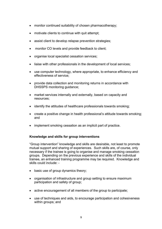- monitor continued suitability of chosen pharmacotherapy;
- motivate clients to continue with quit attempt;
- assist client to develop relapse prevention strategies;
- monitor CO levels and provide feedback to client;
- organise local specialist cessation services;
- liaise with other professionals in the development of local services;
- use computer technology, where appropriate, to enhance efficiency and effectiveness of service;
- provide data collection and monitoring returns in accordance with DHSSPS monitoring guidance;
- market services internally and externally, based on capacity and resources;
- identify the attitudes of healthcare professionals towards smoking;
- create a positive change in health professional's attitude towards smoking; and
- implement smoking cessation as an implicit part of practice.

### **Knowledge and skills for group interventions**

"Group intervention" knowledge and skills are desirable, not least to promote mutual support and sharing of experiences. Such skills are, of course, only necessary if the trainee is going to organise and manage smoking cessation groups. Depending on the previous experience and skills of the individual trainee, an enhanced training programme may be required. Knowledge and skills could include: -

- basic use of group dynamics theory;
- organisation of infrastructure and group setting to ensure maximum participation and safety of group;
- active encouragement of all members of the group to participate;
- use of techniques and aids, to encourage participation and cohesiveness within groups; and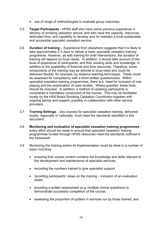- use of range of methodologies to evaluate group outcomes.
- 3.5 **Target Participants** HPSS staff who have some previous experience in delivery of smoking cessation advice, and who have the capacity, resources, dedicated time, and capability to develop and /or maintain a local sustainable, and accessible specialist cessation service.
- 3.6 **Duration of training -** Experience from elsewhere suggests that it is likely to take approximately 2-3 days to deliver a basic specialist cessation training programme. However, as with training for brief interventions, the duration of training will depend on local needs. In addition, it should take account of the level of experience of participants, and their existing skills and knowledge, in addition to the availability of financial and time resources. Therefore, some components of the training may be tailored to local need and could be delivered flexibly, for example, by distance learning techniques. These could be assessed for competency with a short written questionnaire. Within specialist cessation training programmes, there is a need for inclusion of roleplaying and the examination of case studies. Where possible, these tools should be included. In addition, a method of updating participants is considered a mandatory component of the course. This may be facilitated locally by the HSS Board Smoking Cessation Coordinator together with ongoing advice and support, possibly in collaboration with other service providers.
- 3.7 **Training Settings** any courses for specialist cessation training, delivered locally, regionally or nationally, must meet the standards identified in this document.
- 3.8 **Monitoring and evaluation of specialist cessation training programmes**  every effort should be made to ensure that specialist cessation training programmes funded through HPSS resources meet the standards outlined in the framework.
- 3.9 Monitoring the training and/or its implementation could be done in a number of ways including: -
	- ensuring that course content contains the knowledge and skills relevant to the development and maintenance of specialist services;
	- recording the numbers trained to give specialist support;
	- recording participants' views on the training inclusion of an evaluation sheet;
	- providing a written assessment (e.g. multiple choice questions) to demonstrate successful completion of the course;
	- assessing the proportion of quitters in services run by those trained; and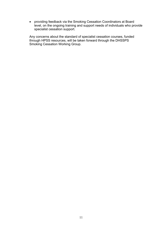• providing feedback via the Smoking Cessation Coordinators at Board level, on the ongoing training and support needs of individuals who provide specialist cessation support.

Any concerns about the standard of specialist cessation courses, funded through HPSS resources, will be taken forward through the DHSSPS Smoking Cessation Working Group.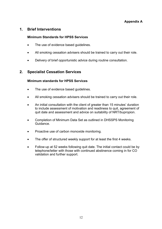### **1. Brief Interventions**

### **Minimum Standards for HPSS Services**

- The use of evidence based quidelines.
- All smoking cessation advisers should be trained to carry out their role.
- Delivery of brief opportunistic advice during routine consultation.

### **2. Specialist Cessation Services**

### **Minimum standards for HPSS Services**

- The use of evidence based quidelines.
- All smoking cessation advisers should be trained to carry out their role.
- An initial consultation with the client of greater than 15 minutes' duration to include assessment of motivation and readiness to quit, agreement of quit date and assessment and advice on suitability of NRT/bupropion.
- Completion of Minimum Data Set as outlined in DHSSPS Monitoring Guidance.
- Proactive use of carbon monoxide monitoring.
- The offer of structured weekly support for at least the first 4 weeks.
- Follow-up at 52 weeks following quit date. The initial contact could be by telephone/letter with those with continued abstinence coming in for CO validation and further support.